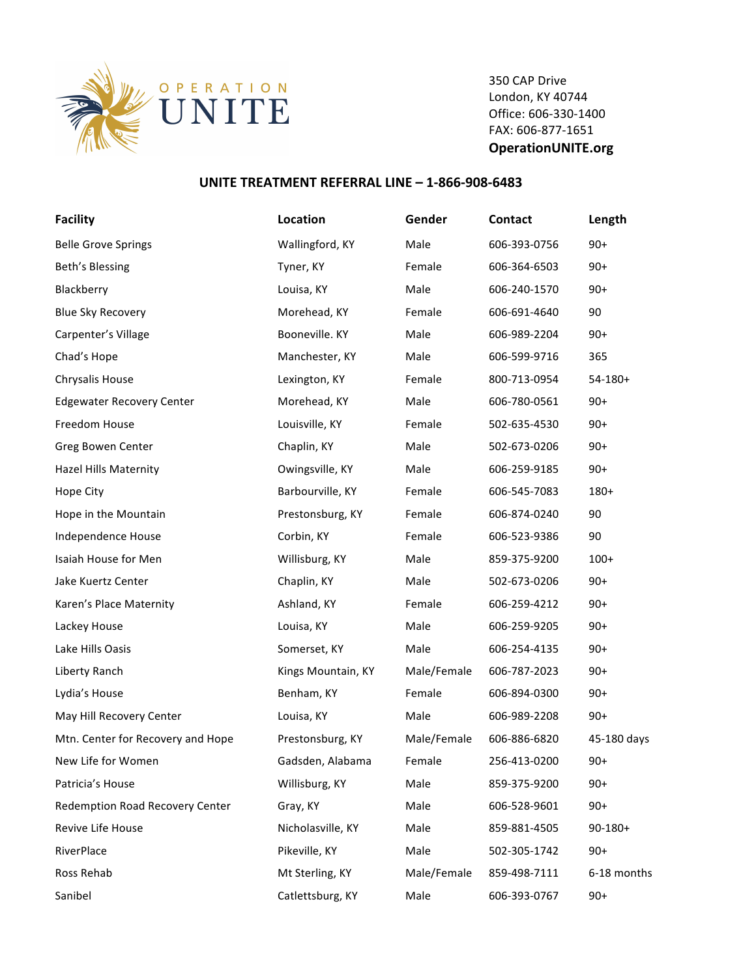

350 CAP Drive London, KY 40744 Office: 606-330-1400 FAX: 606-877-1651 **OperationUNITE.org**

## **UNITE TREATMENT REFERRAL LINE - 1-866-908-6483**

| <b>Facility</b>                   | Location           | Gender      | Contact      | Length       |
|-----------------------------------|--------------------|-------------|--------------|--------------|
| <b>Belle Grove Springs</b>        | Wallingford, KY    | Male        | 606-393-0756 | $90+$        |
| Beth's Blessing                   | Tyner, KY          | Female      | 606-364-6503 | $90+$        |
| Blackberry                        | Louisa, KY         | Male        | 606-240-1570 | $90+$        |
| <b>Blue Sky Recovery</b>          | Morehead, KY       | Female      | 606-691-4640 | 90           |
| Carpenter's Village               | Booneville. KY     | Male        | 606-989-2204 | $90+$        |
| Chad's Hope                       | Manchester, KY     | Male        | 606-599-9716 | 365          |
| Chrysalis House                   | Lexington, KY      | Female      | 800-713-0954 | $54-180+$    |
| <b>Edgewater Recovery Center</b>  | Morehead, KY       | Male        | 606-780-0561 | $90+$        |
| Freedom House                     | Louisville, KY     | Female      | 502-635-4530 | $90+$        |
| Greg Bowen Center                 | Chaplin, KY        | Male        | 502-673-0206 | $90+$        |
| Hazel Hills Maternity             | Owingsville, KY    | Male        | 606-259-9185 | $90+$        |
| Hope City                         | Barbourville, KY   | Female      | 606-545-7083 | $180+$       |
| Hope in the Mountain              | Prestonsburg, KY   | Female      | 606-874-0240 | 90           |
| Independence House                | Corbin, KY         | Female      | 606-523-9386 | 90           |
| Isaiah House for Men              | Willisburg, KY     | Male        | 859-375-9200 | $100+$       |
| Jake Kuertz Center                | Chaplin, KY        | Male        | 502-673-0206 | $90+$        |
| Karen's Place Maternity           | Ashland, KY        | Female      | 606-259-4212 | $90+$        |
| Lackey House                      | Louisa, KY         | Male        | 606-259-9205 | $90+$        |
| Lake Hills Oasis                  | Somerset, KY       | Male        | 606-254-4135 | $90+$        |
| Liberty Ranch                     | Kings Mountain, KY | Male/Female | 606-787-2023 | $90+$        |
| Lydia's House                     | Benham, KY         | Female      | 606-894-0300 | $90+$        |
| May Hill Recovery Center          | Louisa, KY         | Male        | 606-989-2208 | $90+$        |
| Mtn. Center for Recovery and Hope | Prestonsburg, KY   | Male/Female | 606-886-6820 | 45-180 days  |
| New Life for Women                | Gadsden, Alabama   | Female      | 256-413-0200 | $90+$        |
| Patricia's House                  | Willisburg, KY     | Male        | 859-375-9200 | $90+$        |
| Redemption Road Recovery Center   | Gray, KY           | Male        | 606-528-9601 | $90+$        |
| Revive Life House                 | Nicholasville, KY  | Male        | 859-881-4505 | $90 - 180 +$ |
| RiverPlace                        | Pikeville, KY      | Male        | 502-305-1742 | $90+$        |
| Ross Rehab                        | Mt Sterling, KY    | Male/Female | 859-498-7111 | 6-18 months  |
| Sanibel                           | Catlettsburg, KY   | Male        | 606-393-0767 | $90+$        |